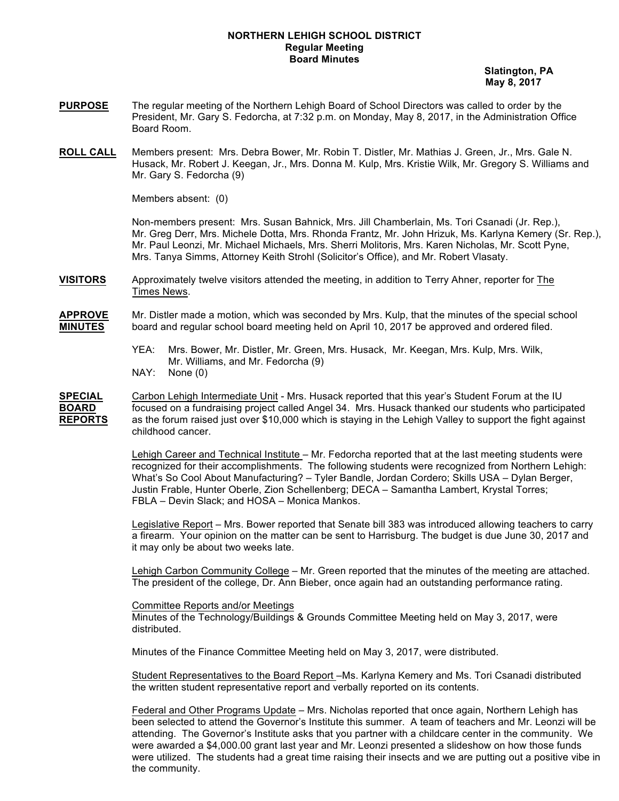## **NORTHERN LEHIGH SCHOOL DISTRICT Regular Meeting Board Minutes**

 **Slatington, PA May 8, 2017**

- **PURPOSE** The regular meeting of the Northern Lehigh Board of School Directors was called to order by the President, Mr. Gary S. Fedorcha, at 7:32 p.m. on Monday, May 8, 2017, in the Administration Office Board Room.
- **ROLL CALL** Members present: Mrs. Debra Bower, Mr. Robin T. Distler, Mr. Mathias J. Green, Jr., Mrs. Gale N. Husack, Mr. Robert J. Keegan, Jr., Mrs. Donna M. Kulp, Mrs. Kristie Wilk, Mr. Gregory S. Williams and Mr. Gary S. Fedorcha (9)

Members absent: (0)

Non-members present: Mrs. Susan Bahnick, Mrs. Jill Chamberlain, Ms. Tori Csanadi (Jr. Rep.), Mr. Greg Derr, Mrs. Michele Dotta, Mrs. Rhonda Frantz, Mr. John Hrizuk, Ms. Karlyna Kemery (Sr. Rep.), Mr. Paul Leonzi, Mr. Michael Michaels, Mrs. Sherri Molitoris, Mrs. Karen Nicholas, Mr. Scott Pyne, Mrs. Tanya Simms, Attorney Keith Strohl (Solicitor's Office), and Mr. Robert Vlasaty.

**VISITORS** Approximately twelve visitors attended the meeting, in addition to Terry Ahner, reporter for The Times News.

**APPROVE** Mr. Distler made a motion, which was seconded by Mrs. Kulp, that the minutes of the special school **MINUTES** board and regular school board meeting held on April 10, 2017 be approved and ordered filed.

- YEA: Mrs. Bower, Mr. Distler, Mr. Green, Mrs. Husack, Mr. Keegan, Mrs. Kulp, Mrs. Wilk, Mr. Williams, and Mr. Fedorcha (9)
- NAY: None (0)

**SPECIAL** Carbon Lehigh Intermediate Unit - Mrs. Husack reported that this year's Student Forum at the IU **BOARD** focused on a fundraising project called Angel 34. Mrs. Husack thanked our students who participated **REPORTS** as the forum raised just over \$10,000 which is staying in the Lehigh Valley to support the fight against childhood cancer.

> Lehigh Career and Technical Institute - Mr. Fedorcha reported that at the last meeting students were recognized for their accomplishments. The following students were recognized from Northern Lehigh: What's So Cool About Manufacturing? – Tyler Bandle, Jordan Cordero; Skills USA – Dylan Berger, Justin Frable, Hunter Oberle, Zion Schellenberg; DECA – Samantha Lambert, Krystal Torres; FBLA – Devin Slack; and HOSA – Monica Mankos.

Legislative Report – Mrs. Bower reported that Senate bill 383 was introduced allowing teachers to carry a firearm. Your opinion on the matter can be sent to Harrisburg. The budget is due June 30, 2017 and it may only be about two weeks late.

Lehigh Carbon Community College – Mr. Green reported that the minutes of the meeting are attached. The president of the college, Dr. Ann Bieber, once again had an outstanding performance rating.

Committee Reports and/or Meetings

Minutes of the Technology/Buildings & Grounds Committee Meeting held on May 3, 2017, were distributed.

Minutes of the Finance Committee Meeting held on May 3, 2017, were distributed.

Student Representatives to the Board Report –Ms. Karlyna Kemery and Ms. Tori Csanadi distributed the written student representative report and verbally reported on its contents.

Federal and Other Programs Update – Mrs. Nicholas reported that once again, Northern Lehigh has been selected to attend the Governor's Institute this summer. A team of teachers and Mr. Leonzi will be attending. The Governor's Institute asks that you partner with a childcare center in the community. We were awarded a \$4,000.00 grant last year and Mr. Leonzi presented a slideshow on how those funds were utilized. The students had a great time raising their insects and we are putting out a positive vibe in the community.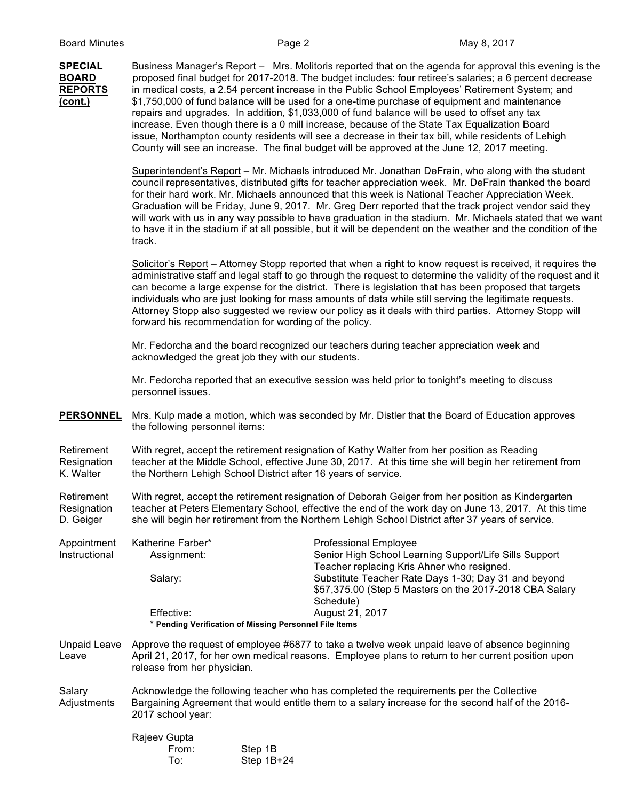**SPECIAL** Business Manager's Report – Mrs. Molitoris reported that on the agenda for approval this evening is the **BOARD** proposed final budget for 2017-2018. The budget includes: four retiree's salaries; a 6 percent decrease **REPORTS** in medical costs, a 2.54 percent increase in the Public School Employees' Retirement System; and **(cont.)** \$1,750,000 of fund balance will be used for a one-time purchase of equipment and maintenance repairs and upgrades. In addition, \$1,033,000 of fund balance will be used to offset any tax increase. Even though there is a 0 mill increase, because of the State Tax Equalization Board issue, Northampton county residents will see a decrease in their tax bill, while residents of Lehigh County will see an increase. The final budget will be approved at the June 12, 2017 meeting.

> Superintendent's Report – Mr. Michaels introduced Mr. Jonathan DeFrain, who along with the student council representatives, distributed gifts for teacher appreciation week. Mr. DeFrain thanked the board for their hard work. Mr. Michaels announced that this week is National Teacher Appreciation Week. Graduation will be Friday, June 9, 2017. Mr. Greg Derr reported that the track project vendor said they will work with us in any way possible to have graduation in the stadium. Mr. Michaels stated that we want to have it in the stadium if at all possible, but it will be dependent on the weather and the condition of the track.

> Solicitor's Report – Attorney Stopp reported that when a right to know request is received, it requires the administrative staff and legal staff to go through the request to determine the validity of the request and it can become a large expense for the district. There is legislation that has been proposed that targets individuals who are just looking for mass amounts of data while still serving the legitimate requests. Attorney Stopp also suggested we review our policy as it deals with third parties. Attorney Stopp will forward his recommendation for wording of the policy.

Mr. Fedorcha and the board recognized our teachers during teacher appreciation week and acknowledged the great job they with our students.

Mr. Fedorcha reported that an executive session was held prior to tonight's meeting to discuss personnel issues.

**PERSONNEL** Mrs. Kulp made a motion, which was seconded by Mr. Distler that the Board of Education approves the following personnel items:

Retirement With regret, accept the retirement resignation of Kathy Walter from her position as Reading Resignation teacher at the Middle School, effective June 30, 2017. At this time she will begin her retirement from<br>K. Walter the Northern Lehigh School District after 16 vears of service. the Northern Lehigh School District after 16 years of service.

Retirement With regret, accept the retirement resignation of Deborah Geiger from her position as Kindergarten Resignation teacher at Peters Elementary School, effective the end of the work day on June 13, 2017. At this time D. Geiger she will begin her retirement from the Northern Lehigh School District after 37 years of service.

Appointment Katherine Farber\* Professional Employee Instructional Assignment: Senior High School Learning Support/Life Sills Support Teacher replacing Kris Ahner who resigned. Salary: Substitute Teacher Rate Days 1-30; Day 31 and beyond \$57,375.00 (Step 5 Masters on the 2017-2018 CBA Salary Schedule) Effective: August 21, 2017 **\* Pending Verification of Missing Personnel File Items**

Unpaid Leave Approve the request of employee #6877 to take a twelve week unpaid leave of absence beginning Leave April 21, 2017, for her own medical reasons. Employee plans to return to her current position upon release from her physician.

Salary **Acknowledge the following teacher who has completed the requirements per the Collective** Adjustments Bargaining Agreement that would entitle them to a salary increase for the second half of the 2016- 2017 school year:

| Rajeev Gupta |              |
|--------------|--------------|
| From:        | Step 1B      |
| To:          | Step $1B+24$ |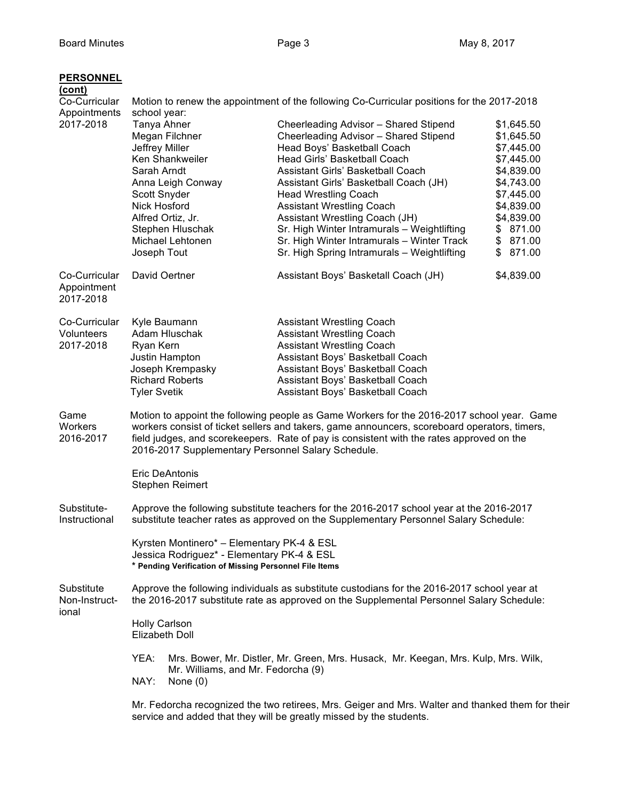| <b>PERSONNEL</b><br>(cont)<br>Co-Curricular | Motion to renew the appointment of the following Co-Curricular positions for the 2017-2018                                                                                                                                                                                                                                                   |                                                                                                                                                                                                                                                                                                                                                                                                                                                                               |                                                                                                                                                                    |
|---------------------------------------------|----------------------------------------------------------------------------------------------------------------------------------------------------------------------------------------------------------------------------------------------------------------------------------------------------------------------------------------------|-------------------------------------------------------------------------------------------------------------------------------------------------------------------------------------------------------------------------------------------------------------------------------------------------------------------------------------------------------------------------------------------------------------------------------------------------------------------------------|--------------------------------------------------------------------------------------------------------------------------------------------------------------------|
| Appointments<br>2017-2018                   | school year:<br>Tanya Ahner<br>Megan Filchner<br>Jeffrey Miller<br>Ken Shankweiler<br>Sarah Arndt<br>Anna Leigh Conway<br>Scott Snyder<br><b>Nick Hosford</b><br>Alfred Ortiz, Jr.<br>Stephen Hluschak<br>Michael Lehtonen<br>Joseph Tout                                                                                                    | Cheerleading Advisor - Shared Stipend<br>Cheerleading Advisor - Shared Stipend<br>Head Boys' Basketball Coach<br>Head Girls' Basketball Coach<br>Assistant Girls' Basketball Coach<br>Assistant Girls' Basketball Coach (JH)<br><b>Head Wrestling Coach</b><br><b>Assistant Wrestling Coach</b><br>Assistant Wrestling Coach (JH)<br>Sr. High Winter Intramurals - Weightlifting<br>Sr. High Winter Intramurals - Winter Track<br>Sr. High Spring Intramurals - Weightlifting | \$1,645.50<br>\$1,645.50<br>\$7,445.00<br>\$7,445.00<br>\$4,839.00<br>\$4,743.00<br>\$7,445.00<br>\$4,839.00<br>\$4,839.00<br>\$871.00<br>\$871.00<br>\$<br>871.00 |
| Co-Curricular<br>Appointment<br>2017-2018   | David Oertner                                                                                                                                                                                                                                                                                                                                | Assistant Boys' Basketall Coach (JH)                                                                                                                                                                                                                                                                                                                                                                                                                                          | \$4,839.00                                                                                                                                                         |
| Co-Curricular<br>Volunteers<br>2017-2018    | Kyle Baumann<br>Adam Hluschak<br>Ryan Kern<br>Justin Hampton<br>Joseph Krempasky<br><b>Richard Roberts</b><br><b>Tyler Svetik</b>                                                                                                                                                                                                            | <b>Assistant Wrestling Coach</b><br><b>Assistant Wrestling Coach</b><br><b>Assistant Wrestling Coach</b><br>Assistant Boys' Basketball Coach<br>Assistant Boys' Basketball Coach<br>Assistant Boys' Basketball Coach<br>Assistant Boys' Basketball Coach                                                                                                                                                                                                                      |                                                                                                                                                                    |
| Game<br>Workers<br>2016-2017                | Motion to appoint the following people as Game Workers for the 2016-2017 school year. Game<br>workers consist of ticket sellers and takers, game announcers, scoreboard operators, timers,<br>field judges, and scorekeepers. Rate of pay is consistent with the rates approved on the<br>2016-2017 Supplementary Personnel Salary Schedule. |                                                                                                                                                                                                                                                                                                                                                                                                                                                                               |                                                                                                                                                                    |
|                                             | <b>Eric DeAntonis</b><br><b>Stephen Reimert</b>                                                                                                                                                                                                                                                                                              |                                                                                                                                                                                                                                                                                                                                                                                                                                                                               |                                                                                                                                                                    |
| Substitute-<br>Instructional                | Approve the following substitute teachers for the 2016-2017 school year at the 2016-2017<br>substitute teacher rates as approved on the Supplementary Personnel Salary Schedule:                                                                                                                                                             |                                                                                                                                                                                                                                                                                                                                                                                                                                                                               |                                                                                                                                                                    |
|                                             | Kyrsten Montinero* - Elementary PK-4 & ESL<br>Jessica Rodriguez* - Elementary PK-4 & ESL<br>* Pending Verification of Missing Personnel File Items                                                                                                                                                                                           |                                                                                                                                                                                                                                                                                                                                                                                                                                                                               |                                                                                                                                                                    |
| Substitute<br>Non-Instruct-<br>ional        | Approve the following individuals as substitute custodians for the 2016-2017 school year at<br>the 2016-2017 substitute rate as approved on the Supplemental Personnel Salary Schedule:                                                                                                                                                      |                                                                                                                                                                                                                                                                                                                                                                                                                                                                               |                                                                                                                                                                    |
|                                             | <b>Holly Carlson</b><br>Elizabeth Doll                                                                                                                                                                                                                                                                                                       |                                                                                                                                                                                                                                                                                                                                                                                                                                                                               |                                                                                                                                                                    |
|                                             | YEA:<br>Mrs. Bower, Mr. Distler, Mr. Green, Mrs. Husack, Mr. Keegan, Mrs. Kulp, Mrs. Wilk,<br>Mr. Williams, and Mr. Fedorcha (9)<br>NAY:<br>None $(0)$                                                                                                                                                                                       |                                                                                                                                                                                                                                                                                                                                                                                                                                                                               |                                                                                                                                                                    |
|                                             | Mr. Fedorcha recognized the two retirees, Mrs. Geiger and Mrs. Walter and thanked them for their                                                                                                                                                                                                                                             |                                                                                                                                                                                                                                                                                                                                                                                                                                                                               |                                                                                                                                                                    |

service and added that they will be greatly missed by the students.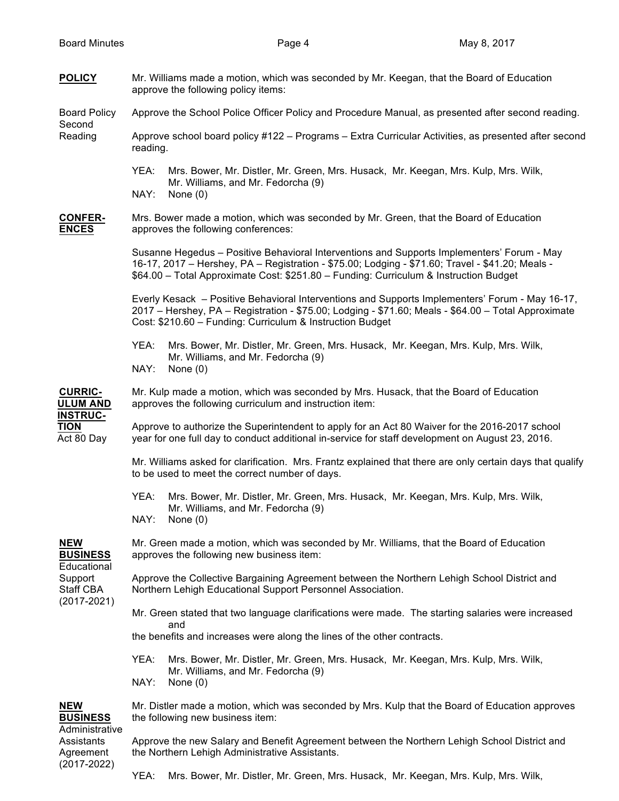| <b>POLICY</b>                                                                           | Mr. Williams made a motion, which was seconded by Mr. Keegan, that the Board of Education<br>approve the following policy items:                                                                                                                                                        |  |
|-----------------------------------------------------------------------------------------|-----------------------------------------------------------------------------------------------------------------------------------------------------------------------------------------------------------------------------------------------------------------------------------------|--|
| <b>Board Policy</b><br>Second                                                           | Approve the School Police Officer Policy and Procedure Manual, as presented after second reading.                                                                                                                                                                                       |  |
| Reading                                                                                 | Approve school board policy #122 - Programs - Extra Curricular Activities, as presented after second<br>reading.                                                                                                                                                                        |  |
|                                                                                         | YEA:<br>Mrs. Bower, Mr. Distler, Mr. Green, Mrs. Husack, Mr. Keegan, Mrs. Kulp, Mrs. Wilk,<br>Mr. Williams, and Mr. Fedorcha (9)<br>NAY:<br>None $(0)$                                                                                                                                  |  |
| <b>CONFER-</b><br><b>ENCES</b>                                                          | Mrs. Bower made a motion, which was seconded by Mr. Green, that the Board of Education<br>approves the following conferences:                                                                                                                                                           |  |
|                                                                                         | Susanne Hegedus - Positive Behavioral Interventions and Supports Implementers' Forum - May<br>16-17, 2017 - Hershey, PA - Registration - \$75.00; Lodging - \$71.60; Travel - \$41.20; Meals -<br>\$64.00 - Total Approximate Cost: \$251.80 - Funding: Curriculum & Instruction Budget |  |
|                                                                                         | Everly Kesack - Positive Behavioral Interventions and Supports Implementers' Forum - May 16-17,<br>2017 – Hershey, PA – Registration - \$75.00; Lodging - \$71.60; Meals - \$64.00 – Total Approximate<br>Cost: \$210.60 - Funding: Curriculum & Instruction Budget                     |  |
|                                                                                         | YEA:<br>Mrs. Bower, Mr. Distler, Mr. Green, Mrs. Husack, Mr. Keegan, Mrs. Kulp, Mrs. Wilk,<br>Mr. Williams, and Mr. Fedorcha (9)<br>NAY:<br>None (0)                                                                                                                                    |  |
| <b>CURRIC-</b><br><b>ULUM AND</b><br><b>INSTRUC-</b><br><b>TION</b><br>Act 80 Day       | Mr. Kulp made a motion, which was seconded by Mrs. Husack, that the Board of Education<br>approves the following curriculum and instruction item:                                                                                                                                       |  |
|                                                                                         | Approve to authorize the Superintendent to apply for an Act 80 Waiver for the 2016-2017 school<br>year for one full day to conduct additional in-service for staff development on August 23, 2016.                                                                                      |  |
|                                                                                         | Mr. Williams asked for clarification. Mrs. Frantz explained that there are only certain days that qualify<br>to be used to meet the correct number of days.                                                                                                                             |  |
|                                                                                         | YEA:<br>Mrs. Bower, Mr. Distler, Mr. Green, Mrs. Husack, Mr. Keegan, Mrs. Kulp, Mrs. Wilk,<br>Mr. Williams, and Mr. Fedorcha (9)<br>NAY:<br>None $(0)$                                                                                                                                  |  |
| <b>NEW</b><br><b>BUSINESS</b><br>Educational<br>Support<br>Staff CBA<br>$(2017 - 2021)$ | Mr. Green made a motion, which was seconded by Mr. Williams, that the Board of Education<br>approves the following new business item:                                                                                                                                                   |  |
|                                                                                         | Approve the Collective Bargaining Agreement between the Northern Lehigh School District and<br>Northern Lehigh Educational Support Personnel Association.                                                                                                                               |  |
|                                                                                         | Mr. Green stated that two language clarifications were made. The starting salaries were increased<br>and                                                                                                                                                                                |  |
|                                                                                         | the benefits and increases were along the lines of the other contracts.                                                                                                                                                                                                                 |  |
|                                                                                         | YEA:<br>Mrs. Bower, Mr. Distler, Mr. Green, Mrs. Husack, Mr. Keegan, Mrs. Kulp, Mrs. Wilk,<br>Mr. Williams, and Mr. Fedorcha (9)<br>NAY:<br>None $(0)$                                                                                                                                  |  |
| <b>NEW</b><br><b>BUSINESS</b>                                                           | Mr. Distler made a motion, which was seconded by Mrs. Kulp that the Board of Education approves<br>the following new business item:                                                                                                                                                     |  |
| Administrative<br>Assistants<br>Agreement<br>$(2017 - 2022)$                            | Approve the new Salary and Benefit Agreement between the Northern Lehigh School District and<br>the Northern Lehigh Administrative Assistants.                                                                                                                                          |  |

YEA: Mrs. Bower, Mr. Distler, Mr. Green, Mrs. Husack, Mr. Keegan, Mrs. Kulp, Mrs. Wilk,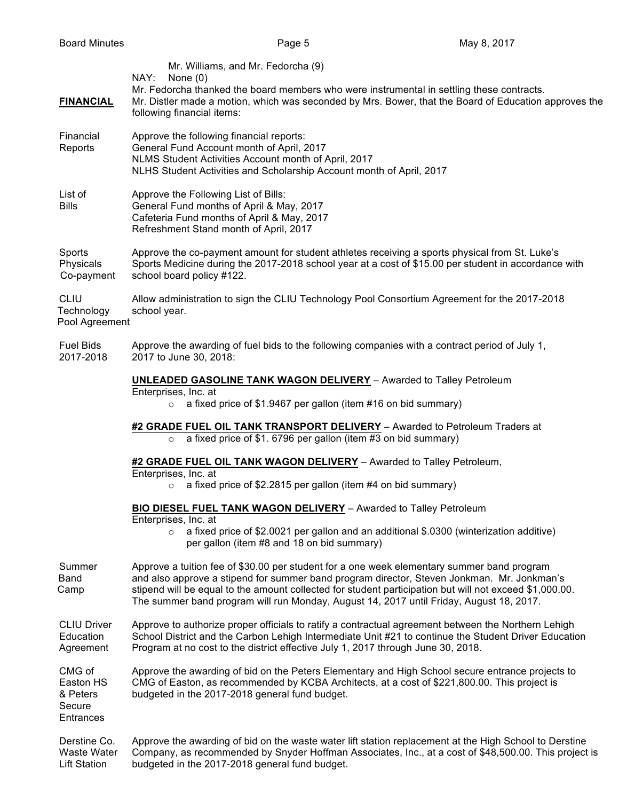| <b>FINANCIAL</b>                                       | Mr. Williams, and Mr. Fedorcha (9)<br>NAY:<br>None $(0)$<br>Mr. Fedorcha thanked the board members who were instrumental in settling these contracts.<br>Mr. Distler made a motion, which was seconded by Mrs. Bower, that the Board of Education approves the<br>following financial items:                                                                                                   |
|--------------------------------------------------------|------------------------------------------------------------------------------------------------------------------------------------------------------------------------------------------------------------------------------------------------------------------------------------------------------------------------------------------------------------------------------------------------|
| Financial<br>Reports                                   | Approve the following financial reports:<br>General Fund Account month of April, 2017<br>NLMS Student Activities Account month of April, 2017<br>NLHS Student Activities and Scholarship Account month of April, 2017                                                                                                                                                                          |
| List of<br><b>Bills</b>                                | Approve the Following List of Bills:<br>General Fund months of April & May, 2017<br>Cafeteria Fund months of April & May, 2017<br>Refreshment Stand month of April, 2017                                                                                                                                                                                                                       |
| Sports<br>Physicals<br>Co-payment                      | Approve the co-payment amount for student athletes receiving a sports physical from St. Luke's<br>Sports Medicine during the 2017-2018 school year at a cost of \$15.00 per student in accordance with<br>school board policy #122.                                                                                                                                                            |
| <b>CLIU</b><br>Technology<br>Pool Agreement            | Allow administration to sign the CLIU Technology Pool Consortium Agreement for the 2017-2018<br>school year.                                                                                                                                                                                                                                                                                   |
| <b>Fuel Bids</b><br>2017-2018                          | Approve the awarding of fuel bids to the following companies with a contract period of July 1,<br>2017 to June 30, 2018:                                                                                                                                                                                                                                                                       |
|                                                        | <b>UNLEADED GASOLINE TANK WAGON DELIVERY</b> - Awarded to Talley Petroleum<br>Enterprises, Inc. at<br>a fixed price of \$1.9467 per gallon (item #16 on bid summary)<br>$\circ$                                                                                                                                                                                                                |
|                                                        |                                                                                                                                                                                                                                                                                                                                                                                                |
|                                                        | #2 GRADE FUEL OIL TANK TRANSPORT DELIVERY - Awarded to Petroleum Traders at<br>a fixed price of \$1.6796 per gallon (item #3 on bid summary)<br>$\circ$                                                                                                                                                                                                                                        |
|                                                        | #2 GRADE FUEL OIL TANK WAGON DELIVERY - Awarded to Talley Petroleum,<br>Enterprises, Inc. at                                                                                                                                                                                                                                                                                                   |
|                                                        | a fixed price of \$2.2815 per gallon (item #4 on bid summary)<br>$\circ$                                                                                                                                                                                                                                                                                                                       |
|                                                        | <b>BIO DIESEL FUEL TANK WAGON DELIVERY</b> - Awarded to Talley Petroleum<br>Enterprises, Inc. at<br>a fixed price of \$2.0021 per gallon and an additional \$.0300 (winterization additive)<br>$\circ$<br>per gallon (item #8 and 18 on bid summary)                                                                                                                                           |
| Summer<br>Band<br>Camp                                 | Approve a tuition fee of \$30.00 per student for a one week elementary summer band program<br>and also approve a stipend for summer band program director, Steven Jonkman. Mr. Jonkman's<br>stipend will be equal to the amount collected for student participation but will not exceed \$1,000.00.<br>The summer band program will run Monday, August 14, 2017 until Friday, August 18, 2017. |
| <b>CLIU Driver</b><br>Education<br>Agreement           | Approve to authorize proper officials to ratify a contractual agreement between the Northern Lehigh<br>School District and the Carbon Lehigh Intermediate Unit #21 to continue the Student Driver Education<br>Program at no cost to the district effective July 1, 2017 through June 30, 2018.                                                                                                |
| CMG of<br>Easton HS<br>& Peters<br>Secure<br>Entrances | Approve the awarding of bid on the Peters Elementary and High School secure entrance projects to<br>CMG of Easton, as recommended by KCBA Architects, at a cost of \$221,800.00. This project is<br>budgeted in the 2017-2018 general fund budget.                                                                                                                                             |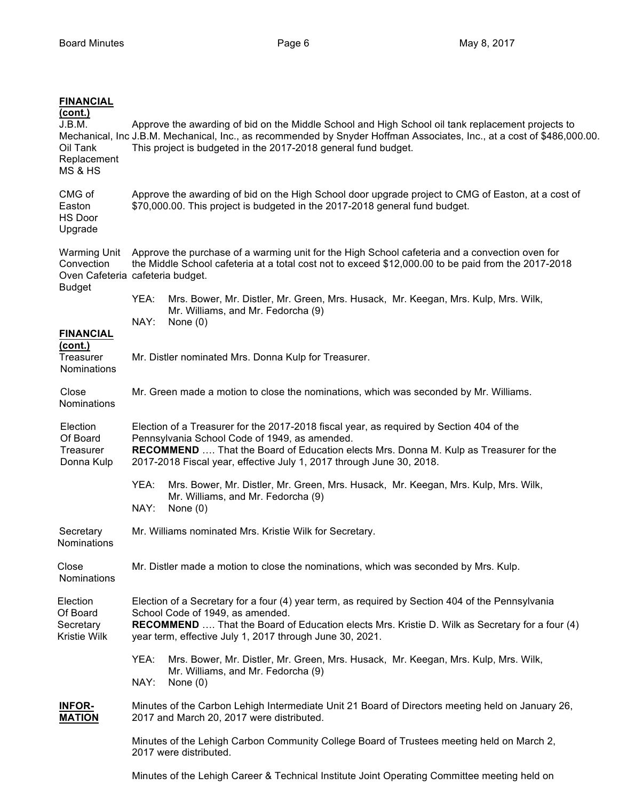| <b>FINANCIAL</b><br><u>(cont.)</u><br>J.B.M.<br>Oil Tank<br>Replacement<br>MS & HS | Approve the awarding of bid on the Middle School and High School oil tank replacement projects to<br>Mechanical, Inc J.B.M. Mechanical, Inc., as recommended by Snyder Hoffman Associates, Inc., at a cost of \$486,000.00.<br>This project is budgeted in the 2017-2018 general fund budget.                    |                                                                                                                                               |  |
|------------------------------------------------------------------------------------|------------------------------------------------------------------------------------------------------------------------------------------------------------------------------------------------------------------------------------------------------------------------------------------------------------------|-----------------------------------------------------------------------------------------------------------------------------------------------|--|
| CMG of<br>Easton<br><b>HS Door</b><br>Upgrade                                      | Approve the awarding of bid on the High School door upgrade project to CMG of Easton, at a cost of<br>\$70,000.00. This project is budgeted in the 2017-2018 general fund budget.                                                                                                                                |                                                                                                                                               |  |
| <b>Warming Unit</b><br>Convection                                                  | Approve the purchase of a warming unit for the High School cafeteria and a convection oven for<br>the Middle School cafeteria at a total cost not to exceed \$12,000.00 to be paid from the 2017-2018<br>Oven Cafeteria cafeteria budget.                                                                        |                                                                                                                                               |  |
| <b>Budget</b>                                                                      | YEA:<br>NAY:                                                                                                                                                                                                                                                                                                     | Mrs. Bower, Mr. Distler, Mr. Green, Mrs. Husack, Mr. Keegan, Mrs. Kulp, Mrs. Wilk,<br>Mr. Williams, and Mr. Fedorcha (9)<br>None $(0)$        |  |
| <b>FINANCIAL</b><br><u>(cont.)</u><br>Treasurer<br>Nominations                     |                                                                                                                                                                                                                                                                                                                  | Mr. Distler nominated Mrs. Donna Kulp for Treasurer.                                                                                          |  |
| Close<br>Nominations                                                               | Mr. Green made a motion to close the nominations, which was seconded by Mr. Williams.                                                                                                                                                                                                                            |                                                                                                                                               |  |
| Election<br>Of Board<br>Treasurer<br>Donna Kulp                                    | Election of a Treasurer for the 2017-2018 fiscal year, as required by Section 404 of the<br>Pennsylvania School Code of 1949, as amended.<br><b>RECOMMEND</b> That the Board of Education elects Mrs. Donna M. Kulp as Treasurer for the<br>2017-2018 Fiscal year, effective July 1, 2017 through June 30, 2018. |                                                                                                                                               |  |
|                                                                                    | YEA:<br>NAY:                                                                                                                                                                                                                                                                                                     | Mrs. Bower, Mr. Distler, Mr. Green, Mrs. Husack, Mr. Keegan, Mrs. Kulp, Mrs. Wilk,<br>Mr. Williams, and Mr. Fedorcha (9)<br>None $(0)$        |  |
| Secretary<br>Nominations                                                           |                                                                                                                                                                                                                                                                                                                  | Mr. Williams nominated Mrs. Kristie Wilk for Secretary.                                                                                       |  |
| Close<br><b>Nominations</b>                                                        | Mr. Distler made a motion to close the nominations, which was seconded by Mrs. Kulp.                                                                                                                                                                                                                             |                                                                                                                                               |  |
| Election<br>Of Board<br>Secretary<br>Kristie Wilk                                  | Election of a Secretary for a four (4) year term, as required by Section 404 of the Pennsylvania<br>School Code of 1949, as amended.<br>RECOMMEND  That the Board of Education elects Mrs. Kristie D. Wilk as Secretary for a four (4)<br>year term, effective July 1, 2017 through June 30, 2021.               |                                                                                                                                               |  |
|                                                                                    | YEA:<br>NAY:                                                                                                                                                                                                                                                                                                     | Mrs. Bower, Mr. Distler, Mr. Green, Mrs. Husack, Mr. Keegan, Mrs. Kulp, Mrs. Wilk,<br>Mr. Williams, and Mr. Fedorcha (9)<br>None $(0)$        |  |
| <b>INFOR-</b><br><b>MATION</b>                                                     |                                                                                                                                                                                                                                                                                                                  | Minutes of the Carbon Lehigh Intermediate Unit 21 Board of Directors meeting held on January 26,<br>2017 and March 20, 2017 were distributed. |  |
|                                                                                    | Minutes of the Lehigh Carbon Community College Board of Trustees meeting held on March 2,<br>2017 were distributed.                                                                                                                                                                                              |                                                                                                                                               |  |
|                                                                                    |                                                                                                                                                                                                                                                                                                                  | Minutes of the Lehigh Career & Technical Institute Joint Operating Committee meeting held on                                                  |  |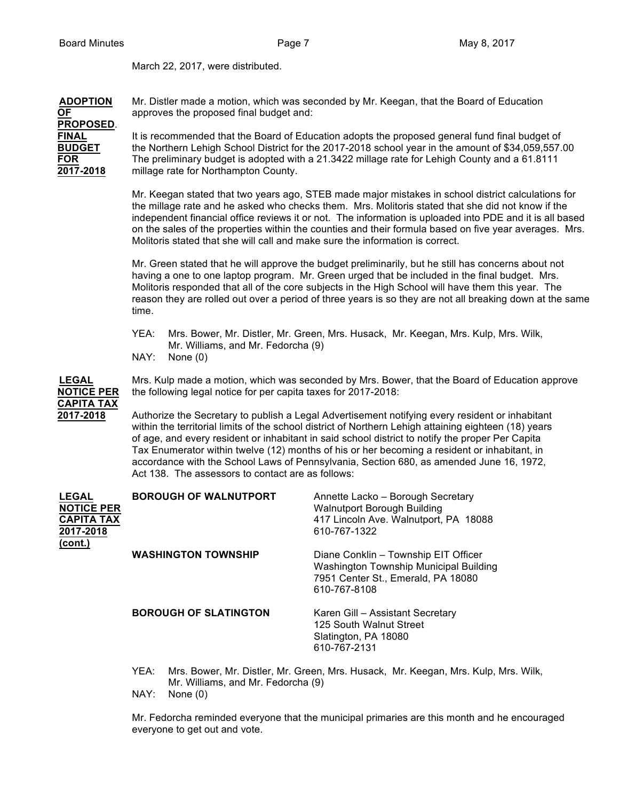March 22, 2017, were distributed.

| <b>ADOPTION</b>  | Mr. Distler made a motion, which was seconded by Mr. Keegan, that the Board of Education           |
|------------------|----------------------------------------------------------------------------------------------------|
| <b>OF</b>        | approves the proposed final budget and:                                                            |
| <b>PROPOSED.</b> |                                                                                                    |
| <b>FINAL</b>     | It is recommended that the Board of Education adopts the proposed general fund final budget of     |
| <b>BUDGET</b>    | the Northern Lehigh School District for the 2017-2018 school year in the amount of \$34,059,557.00 |
| <b>FOR</b>       | The preliminary budget is adopted with a 21.3422 millage rate for Lehigh County and a 61.8111      |
| 2017-2018        | millage rate for Northampton County.                                                               |
|                  |                                                                                                    |

Mr. Keegan stated that two years ago, STEB made major mistakes in school district calculations for the millage rate and he asked who checks them. Mrs. Molitoris stated that she did not know if the independent financial office reviews it or not. The information is uploaded into PDE and it is all based on the sales of the properties within the counties and their formula based on five year averages. Mrs. Molitoris stated that she will call and make sure the information is correct.

Mr. Green stated that he will approve the budget preliminarily, but he still has concerns about not having a one to one laptop program. Mr. Green urged that be included in the final budget. Mrs. Molitoris responded that all of the core subjects in the High School will have them this year. The reason they are rolled out over a period of three years is so they are not all breaking down at the same time.

- YEA: Mrs. Bower, Mr. Distler, Mr. Green, Mrs. Husack, Mr. Keegan, Mrs. Kulp, Mrs. Wilk, Mr. Williams, and Mr. Fedorcha (9)
- NAY: None (0)

**CAPITA TAX**

**LEGAL** Mrs. Kulp made a motion, which was seconded by Mrs. Bower, that the Board of Education approve **NOTICE PER** the following legal notice for per capita taxes for 2017-2018:

**2017-2018** Authorize the Secretary to publish a Legal Advertisement notifying every resident or inhabitant within the territorial limits of the school district of Northern Lehigh attaining eighteen (18) years of age, and every resident or inhabitant in said school district to notify the proper Per Capita Tax Enumerator within twelve (12) months of his or her becoming a resident or inhabitant, in accordance with the School Laws of Pennsylvania, Section 680, as amended June 16, 1972, Act 138. The assessors to contact are as follows:

| <b>LEGAL</b><br><b>NOTICE PER</b><br><b>CAPITA TAX</b><br>2017-2018<br>(cont.) | <b>BOROUGH OF WALNUTPORT</b> | Annette Lacko - Borough Secretary<br><b>Walnutport Borough Building</b><br>417 Lincoln Ave. Walnutport, PA 18088<br>610-767-1322     |
|--------------------------------------------------------------------------------|------------------------------|--------------------------------------------------------------------------------------------------------------------------------------|
|                                                                                | <b>WASHINGTON TOWNSHIP</b>   | Diane Conklin - Township EIT Officer<br>Washington Township Municipal Building<br>7951 Center St., Emerald, PA 18080<br>610-767-8108 |
|                                                                                | <b>BOROUGH OF SLATINGTON</b> | Karen Gill – Assistant Secretary<br>125 South Walnut Street<br>Slatington, PA 18080<br>610-767-2131                                  |

- YEA: Mrs. Bower, Mr. Distler, Mr. Green, Mrs. Husack, Mr. Keegan, Mrs. Kulp, Mrs. Wilk, Mr. Williams, and Mr. Fedorcha (9)
- NAY: None (0)

Mr. Fedorcha reminded everyone that the municipal primaries are this month and he encouraged everyone to get out and vote.